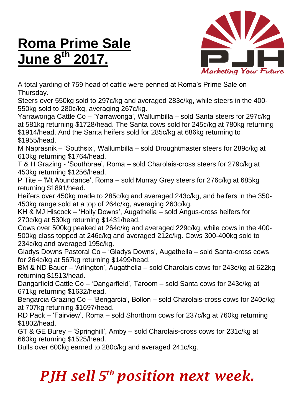## **Roma Prime Sale June 8 th 2017.**



A total yarding of 759 head of cattle were penned at Roma's Prime Sale on Thursday.

Steers over 550kg sold to 297c/kg and averaged 283c/kg, while steers in the 400- 550kg sold to 280c/kg, averaging 267c/kg.

Yarrawonga Cattle Co – 'Yarrawonga', Wallumbilla – sold Santa steers for 297c/kg at 581kg returning \$1728/head. The Santa cows sold for 245c/kg at 780kg returning \$1914/head. And the Santa heifers sold for 285c/kg at 686kg returning to \$1955/head.

M Naprasnik – 'Southsix', Wallumbilla – sold Droughtmaster steers for 289c/kg at 610kg returning \$1764/head.

T & H Grazing - 'Southbrae', Roma – sold Charolais-cross steers for 279c/kg at 450kg returning \$1256/head.

P Tite – 'Mt Abundance', Roma – sold Murray Grey steers for 276c/kg at 685kg returning \$1891/head.

Heifers over 450kg made to 285c/kg and averaged 243c/kg, and heifers in the 350- 450kg range sold at a top of 264c/kg, averaging 260c/kg.

KH & MJ Hiscock – 'Holly Downs', Augathella – sold Angus-cross heifers for 270c/kg at 530kg returning \$1431/head.

Cows over 500kg peaked at 264c/kg and averaged 229c/kg, while cows in the 400- 500kg class topped at 246c/kg and averaged 212c/kg. Cows 300-400kg sold to 234c/kg and averaged 195c/kg.

Gladys Downs Pastoral Co – 'Gladys Downs', Augathella – sold Santa-cross cows for 264c/kg at 567kg returning \$1499/head.

BM & ND Bauer – 'Arlington', Augathella – sold Charolais cows for 243c/kg at 622kg returning \$1513/head.

Dangarfield Cattle Co – 'Dangarfield', Taroom – sold Santa cows for 243c/kg at 671kg returning \$1632/head.

Bengarcia Grazing Co – 'Bengarcia', Bollon – sold Charolais-cross cows for 240c/kg at 707kg returning \$1697/head.

RD Pack – 'Fairview', Roma – sold Shorthorn cows for 237c/kg at 760kg returning \$1802/head.

GT & GE Burey – 'Springhill', Amby – sold Charolais-cross cows for 231c/kg at 660kg returning \$1525/head.

Bulls over 600kg earned to 280c/kg and averaged 241c/kg.

## *PJH sell 5 th position next week.*